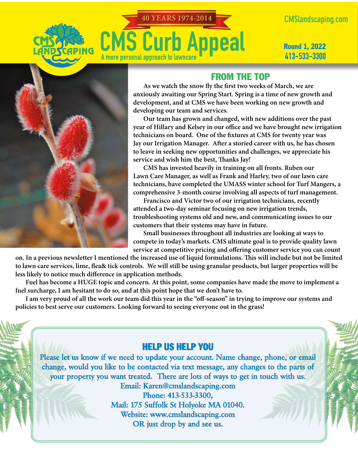# **40 YEARS 1974-2014CMS Curb Appeal** A more personal approach to lawncare

**CMSlandscaping.com** 

Round 1, 2022 413-533-3300



### FROM THE TOP

**As we watch the snow fly the first two weeks of March, we are anxiously awaiting our Spring Start. Spring is a time of new growth and development, and at CMS we have been working on new growth and developing our team and services.**

**Our team has grown and changed, with new additions over the past year of Hillary and Kelsey in our office and we have brought new irrigation technicians on board. One of the fixtures at CMS for twenty year was Jay our Irrigation Manager. After a storied career with us, he has chosen to leave in seeking new opportunities and challenges, we appreciate his service and wish him the best, Thanks Jay!**

**CMS has invested heavily in training on all fronts. Ruben our Lawn Care Manager, as well as Frank and Harley, two of our lawn care technicians, have completed the UMASS winter school for Turf Mangers, a comprehensive 3-month course involving all aspects of turf management.**

**Francisco and Victor two of our irrigation technicians, recently attended a two-day seminar focusing on new irrigation trends, troubleshooting systems old and new, and communicating issues to our customers that their systems may have in future.** 

**Small businesses throughout all industries are looking at ways to compete in today's markets. CMS ultimate goal is to provide quality lawn service at competitive pricing and offering customer service you can count** 

**on. In a previous newsletter I mentioned the increased use of liquid formulations. This will include but not be limited to lawn care services, lime, flea& tick controls. We will still be using granular products, but larger properties will be less likely to notice much difference in application methods.**

**Fuel has become a HUGE topic and concern. At this point, some companies have made the move to implement a fuel surcharge, I am hesitant to do so, and at this point hope that we don't have to.** 

**I am very proud of all the work our team did this year in the "off-season" in trying to improve our systems and policies to best serve our customers. Looking forward to seeing everyone out in the grass!**

## HELP US HELP YOU

**Please let us know if we need to update your account. Name change, phone, or email change, would you like to be contacted via text message, any changes to the parts of your property you want treated. There are lots of ways to get in touch with us. Email: Karen@cmslandscaping.com** 

**Phone: 413-533-3300, Mail: 175 Suffolk St Holyoke MA 01040. Website: www.cmslandscaping.com OR just drop by and see us.**